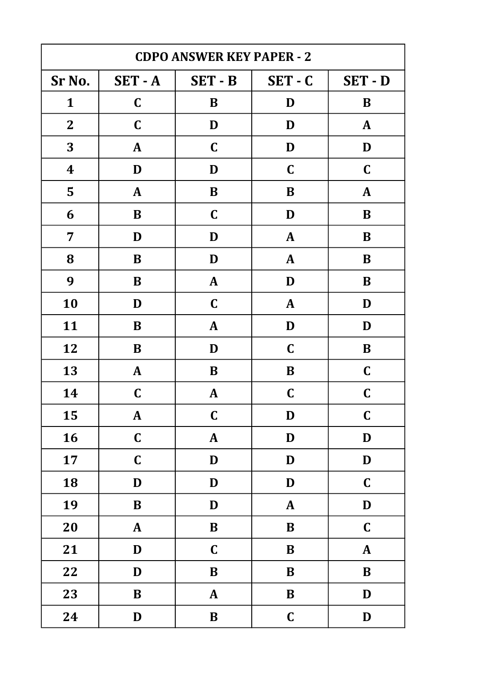| <b>CDPO ANSWER KEY PAPER - 2</b> |              |              |              |               |
|----------------------------------|--------------|--------------|--------------|---------------|
| Sr No.                           | $SET - A$    | SET - B      | $SET - C$    | SET - D       |
| $\mathbf{1}$                     | $\mathbf C$  | B            | D            | B             |
| $\mathbf{2}$                     | $\mathbf C$  | D            | D            | $\mathbf{A}$  |
| 3                                | $\mathbf{A}$ | $\mathbf C$  | D            | D             |
| $\boldsymbol{4}$                 | D            | D            | $\mathbf C$  | $\mathbf C$   |
| 5                                | $\mathbf{A}$ | $\bf{B}$     | B            | ${\bf A}$     |
| 6                                | B            | $\mathbf C$  | D            | B             |
| 7                                | D            | D            | $\mathbf{A}$ | B             |
| 8                                | $\bf{B}$     | D            | $\mathbf{A}$ | $\bf{B}$      |
| 9                                | B            | $\mathbf{A}$ | D            | $\bf{B}$      |
| 10                               | D            | $\mathbf C$  | A            | D             |
| 11                               | B            | $\mathbf{A}$ | D            | D             |
| 12                               | B            | D            | $\mathbf C$  | $\bf{B}$      |
| 13                               | $\mathbf{A}$ | B            | $\bf{B}$     | $\mathbf C$   |
| 14                               | $\mathbf C$  | $\mathbf{A}$ | $\mathbf C$  | $\mathbf C$   |
| 15                               | ${\bf A}$    | $\mathbf C$  | D            | $\mathbf C$   |
| 16                               | $\mathbf C$  | $\pmb{A}$    | D            | $\mathbf D$   |
| 17                               | $\mathbf C$  | D            | D            | D             |
| 18                               | $\mathbf D$  | $\mathbf D$  | $\mathbf D$  | $\mathbf C$   |
| 19                               | $\, {\bf B}$ | D            | $\mathbf{A}$ | $\mathbf D$   |
| 20                               | $\mathbf{A}$ | $\bf{B}$     | $\bf{B}$     | $\mathbf C$   |
| 21                               | $\mathbf D$  | $\mathbf C$  | $\bf{B}$     | $\mathbf{A}$  |
| 22                               | $\mathbf D$  | $\, {\bf B}$ | ${\bf B}$    | $\bf{B}$      |
| 23                               | $\, {\bf B}$ | ${\bf A}$    | $\bf{B}$     | $\mathbf D$   |
| 24                               | $\mathbf D$  | $\, {\bf B}$ | $\mathbf C$  | $\mathbf{D}%$ |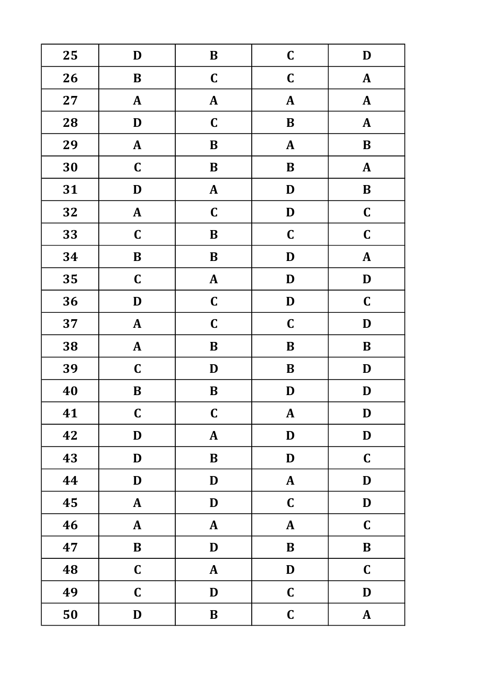| 25 | $\mathbf D$  | $\, {\bf B}$     | $\mathbf C$  | $\mathbf{D}%$ |
|----|--------------|------------------|--------------|---------------|
| 26 | $\bf{B}$     | $\mathbf C$      | $\mathbf C$  | $\mathbf{A}$  |
| 27 | ${\bf A}$    | ${\bf A}$        | $\mathbf{A}$ | ${\bf A}$     |
| 28 | D            | $\mathbf C$      | $\bf{B}$     | ${\bf A}$     |
| 29 | $\mathbf{A}$ | $\bf{B}$         | $\mathbf{A}$ | $\bf{B}$      |
| 30 | $\mathbf C$  | $\bf{B}$         | $\bf{B}$     | ${\bf A}$     |
| 31 | D            | $\mathbf{A}$     | D            | $\, {\bf B}$  |
| 32 | ${\bf A}$    | $\mathbf C$      | $\mathbf D$  | $\mathbf C$   |
| 33 | $\mathbf C$  | $\bf{B}$         | $\mathbf C$  | $\mathbf C$   |
| 34 | $\, {\bf B}$ | $\, {\bf B}$     | D            | ${\bf A}$     |
| 35 | $\mathbf C$  | $\boldsymbol{A}$ | $\mathbf D$  | $\mathbf D$   |
| 36 | D            | $\mathbf C$      | D            | $\mathbf C$   |
| 37 | ${\bf A}$    | $\mathbf C$      | $\mathbf C$  | $\mathbf D$   |
| 38 | $\pmb{A}$    | $\, {\bf B}$     | $\bf{B}$     | $\bf{B}$      |
| 39 | $\mathbf C$  | $\mathbf D$      | $\bf{B}$     | D             |
| 40 | $\bf{B}$     | $\bf{B}$         | D            | $\mathbf D$   |
| 41 | $\mathbf C$  | $\mathbf C$      | ${\bf A}$    | D             |
| 42 | $\mathbf D$  | ${\bf A}$        | D            | $\mathbf D$   |
| 43 | $\mathbf D$  | $\, {\bf B}$     | D            | $\mathbf C$   |
| 44 | D            | D                | $\mathbf{A}$ | D             |
| 45 | ${\bf A}$    | $\mathbf D$      | $\mathbf C$  | $\mathbf D$   |
| 46 | $\mathbf{A}$ | ${\bf A}$        | $\mathbf{A}$ | $\mathbf C$   |
| 47 | $\bf{B}$     | $\mathbf D$      | $\mathbf B$  | $\bf{B}$      |
| 48 | $\mathbf C$  | ${\bf A}$        | D            | $\mathbf C$   |
| 49 | $\mathbf C$  | $\mathbf D$      | $\mathbf C$  | D             |
| 50 | $\mathbf D$  | $\, {\bf B}$     | $\mathbf C$  | ${\bf A}$     |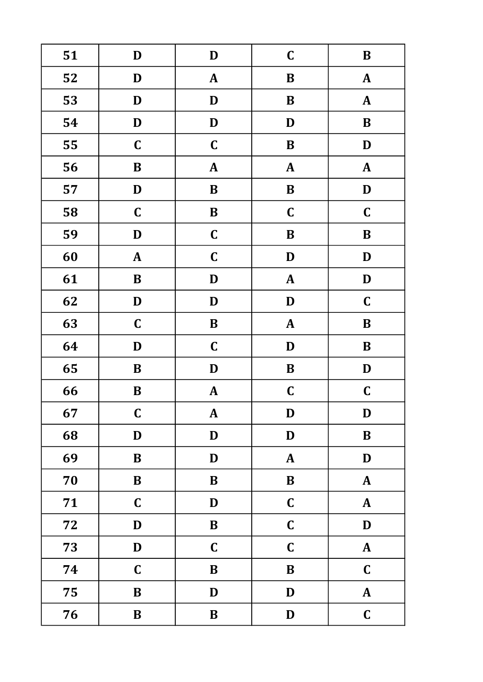| 51 | $\mathbf D$  | $\mathbf D$      | $\mathbf C$  | $\, {\bf B}$ |
|----|--------------|------------------|--------------|--------------|
| 52 | D            | $\mathbf{A}$     | $\bf{B}$     | $\mathbf{A}$ |
| 53 | D            | D                | $\bf{B}$     | ${\bf A}$    |
| 54 | $\mathbf D$  | $\mathbf D$      | D            | $\, {\bf B}$ |
| 55 | $\mathbf C$  | $\mathbf C$      | $\bf{B}$     | D            |
| 56 | $\bf{B}$     | $\boldsymbol{A}$ | ${\bf A}$    | ${\bf A}$    |
| 57 | D            | $\, {\bf B}$     | $\bf{B}$     | $\mathbf D$  |
| 58 | $\mathbf C$  | $\, {\bf B}$     | $\mathbf C$  | $\mathbf C$  |
| 59 | D            | $\mathbf C$      | $\bf{B}$     | $\bf{B}$     |
| 60 | ${\bf A}$    | $\mathbf C$      | $\mathbf D$  | D            |
| 61 | $\, {\bf B}$ | $\mathbf D$      | $\mathbf{A}$ | $\mathbf D$  |
| 62 | D            | $\mathbf D$      | D            | $\mathbf C$  |
| 63 | $\mathbf C$  | $\, {\bf B}$     | $\mathbf{A}$ | $\, {\bf B}$ |
| 64 | D            | $\mathbf C$      | D            | $\bf{B}$     |
| 65 | $\bf{B}$     | $\mathbf D$      | $\bf{B}$     | $\mathbf D$  |
| 66 | $\bf{B}$     | ${\bf A}$        | $\mathbf C$  | $\mathbf C$  |
| 67 | $\mathbf C$  | $\mathbf{A}$     | D            | D            |
| 68 | $\mathbf D$  | $\mathbf D$      | D            | $\bf{B}$     |
| 69 | $\, {\bf B}$ | $\mathbf D$      | $\mathbf{A}$ | $\mathbf D$  |
| 70 | $\, {\bf B}$ | $\bf{B}$         | $\bf{B}$     | ${\bf A}$    |
| 71 | $\mathbf C$  | $\mathbf D$      | $\mathbf C$  | ${\bf A}$    |
| 72 | $\mathbf D$  | $\, {\bf B}$     | $\mathbf C$  | D            |
| 73 | D            | $\mathbf C$      | $\mathbf C$  | ${\bf A}$    |
| 74 | $\mathbf C$  | $\bf{B}$         | $\bf{B}$     | $\mathbf C$  |
| 75 | $\, {\bf B}$ | D                | D            | ${\bf A}$    |
| 76 | $\, {\bf B}$ | $\, {\bf B}$     | D            | $\mathbf C$  |